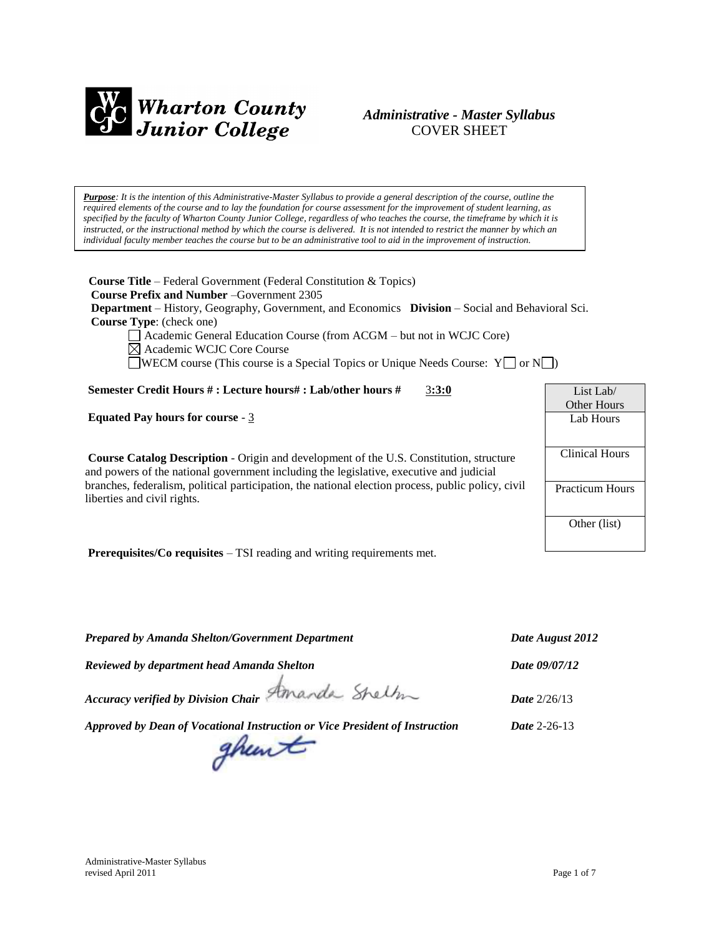

## *Administrative - Master Syllabus*  COVER SHEET

*Purpose: It is the intention of this Administrative-Master Syllabus to provide a general description of the course, outline the required elements of the course and to lay the foundation for course assessment for the improvement of student learning, as specified by the faculty of Wharton County Junior College, regardless of who teaches the course, the timeframe by which it is instructed, or the instructional method by which the course is delivered. It is not intended to restrict the manner by which an individual faculty member teaches the course but to be an administrative tool to aid in the improvement of instruction.*

**Course Title** – Federal Government (Federal Constitution & Topics)  **Course Prefix and Number** –Government 2305  **Department** – History, Geography, Government, and Economics **Division** – Social and Behavioral Sci.  **Course Type**: (check one) Academic General Education Course (from ACGM – but not in WCJC Core) Academic WCJC Core Course

WECM course (This course is a Special Topics or Unique Needs Course:  $Y \cap Y$ 

### **Semester Credit Hours # : Lecture hours# : Lab/other hours #** 3**:3:0**

**Equated Pay hours for course** - 3

**Course Catalog Description** - Origin and development of the U.S. Constitution, structure and powers of the national government including the legislative, executive and judicial branches, federalism, political participation, the national election process, public policy, civil liberties and civil rights.

**Prerequisites/Co requisites** – TSI reading and writing requirements met.

*Prepared by Amanda Shelton/Government Department Date August 2012 Reviewed by department head Amanda Shelton Date 09/07/12 Accuracy verified by Division Chair Date* 2/26/13 *Approved by Dean of Vocational Instruction or Vice President of Instruction Date* 2-26-13 ghewt

List Lab/ Other Hours Lab Hours Clinical Hours Practicum Hours Other (list)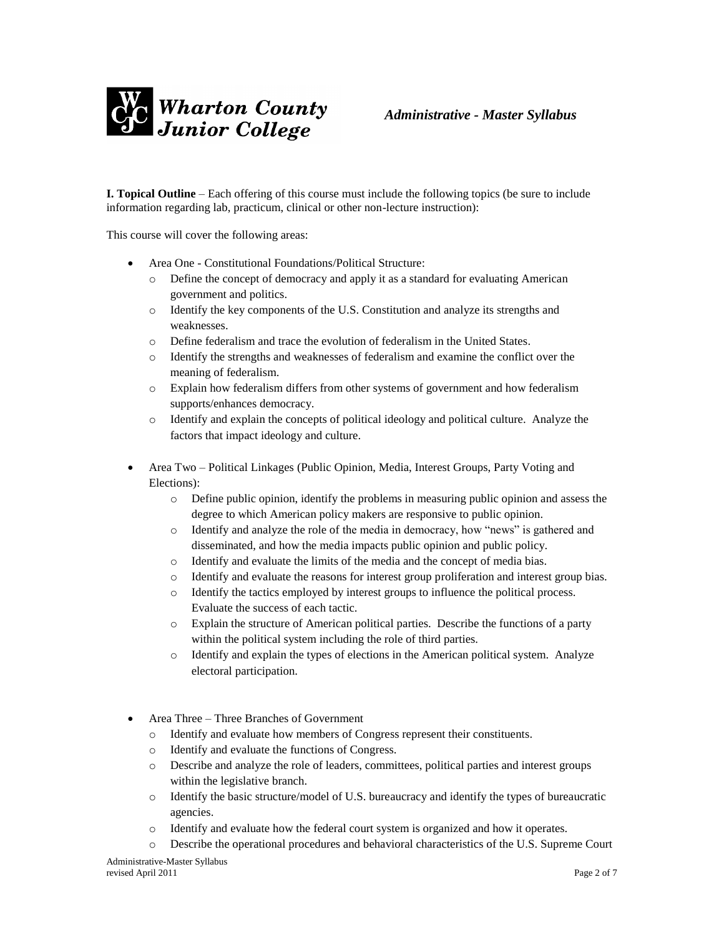

**I. Topical Outline** – Each offering of this course must include the following topics (be sure to include information regarding lab, practicum, clinical or other non-lecture instruction):

This course will cover the following areas:

- Area One Constitutional Foundations/Political Structure:
	- o Define the concept of democracy and apply it as a standard for evaluating American government and politics.
	- o Identify the key components of the U.S. Constitution and analyze its strengths and weaknesses.
	- o Define federalism and trace the evolution of federalism in the United States.
	- o Identify the strengths and weaknesses of federalism and examine the conflict over the meaning of federalism.
	- o Explain how federalism differs from other systems of government and how federalism supports/enhances democracy.
	- o Identify and explain the concepts of political ideology and political culture. Analyze the factors that impact ideology and culture.
- Area Two Political Linkages (Public Opinion, Media, Interest Groups, Party Voting and Elections):
	- o Define public opinion, identify the problems in measuring public opinion and assess the degree to which American policy makers are responsive to public opinion.
	- o Identify and analyze the role of the media in democracy, how "news" is gathered and disseminated, and how the media impacts public opinion and public policy.
	- o Identify and evaluate the limits of the media and the concept of media bias.
	- o Identify and evaluate the reasons for interest group proliferation and interest group bias.
	- o Identify the tactics employed by interest groups to influence the political process. Evaluate the success of each tactic.
	- o Explain the structure of American political parties. Describe the functions of a party within the political system including the role of third parties.
	- o Identify and explain the types of elections in the American political system. Analyze electoral participation.
- Area Three Three Branches of Government
	- o Identify and evaluate how members of Congress represent their constituents.
	- o Identify and evaluate the functions of Congress.
	- o Describe and analyze the role of leaders, committees, political parties and interest groups within the legislative branch.
	- $\circ$  Identify the basic structure/model of U.S. bureaucracy and identify the types of bureaucratic agencies.
	- o Identify and evaluate how the federal court system is organized and how it operates.
	- o Describe the operational procedures and behavioral characteristics of the U.S. Supreme Court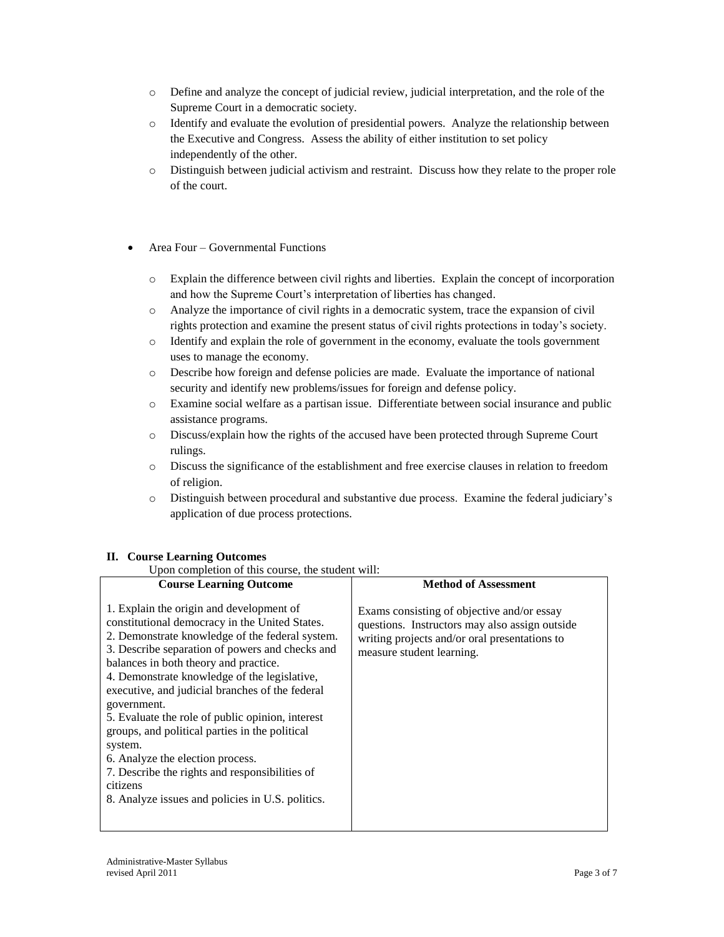- o Define and analyze the concept of judicial review, judicial interpretation, and the role of the Supreme Court in a democratic society.
- o Identify and evaluate the evolution of presidential powers. Analyze the relationship between the Executive and Congress. Assess the ability of either institution to set policy independently of the other.
- o Distinguish between judicial activism and restraint. Discuss how they relate to the proper role of the court.
- Area Four Governmental Functions
	- o Explain the difference between civil rights and liberties. Explain the concept of incorporation and how the Supreme Court's interpretation of liberties has changed.
	- o Analyze the importance of civil rights in a democratic system, trace the expansion of civil rights protection and examine the present status of civil rights protections in today's society.
	- o Identify and explain the role of government in the economy, evaluate the tools government uses to manage the economy.
	- o Describe how foreign and defense policies are made. Evaluate the importance of national security and identify new problems/issues for foreign and defense policy.
	- o Examine social welfare as a partisan issue. Differentiate between social insurance and public assistance programs.
	- o Discuss/explain how the rights of the accused have been protected through Supreme Court rulings.
	- o Discuss the significance of the establishment and free exercise clauses in relation to freedom of religion.
	- o Distinguish between procedural and substantive due process. Examine the federal judiciary's application of due process protections.

## **II. Course Learning Outcomes**

Upon completion of this course, the student will:

| pon completion of this coulse, the student will                                                                                                                                                                                                                                                                                                                                                                                                                                                                                                                                                                                    |                                                                                                                                                                            |  |
|------------------------------------------------------------------------------------------------------------------------------------------------------------------------------------------------------------------------------------------------------------------------------------------------------------------------------------------------------------------------------------------------------------------------------------------------------------------------------------------------------------------------------------------------------------------------------------------------------------------------------------|----------------------------------------------------------------------------------------------------------------------------------------------------------------------------|--|
| <b>Course Learning Outcome</b>                                                                                                                                                                                                                                                                                                                                                                                                                                                                                                                                                                                                     | <b>Method of Assessment</b>                                                                                                                                                |  |
| 1. Explain the origin and development of<br>constitutional democracy in the United States.<br>2. Demonstrate knowledge of the federal system.<br>3. Describe separation of powers and checks and<br>balances in both theory and practice.<br>4. Demonstrate knowledge of the legislative,<br>executive, and judicial branches of the federal<br>government.<br>5. Evaluate the role of public opinion, interest<br>groups, and political parties in the political<br>system.<br>6. Analyze the election process.<br>7. Describe the rights and responsibilities of<br>citizens<br>8. Analyze issues and policies in U.S. politics. | Exams consisting of objective and/or essay<br>questions. Instructors may also assign outside<br>writing projects and/or oral presentations to<br>measure student learning. |  |
|                                                                                                                                                                                                                                                                                                                                                                                                                                                                                                                                                                                                                                    |                                                                                                                                                                            |  |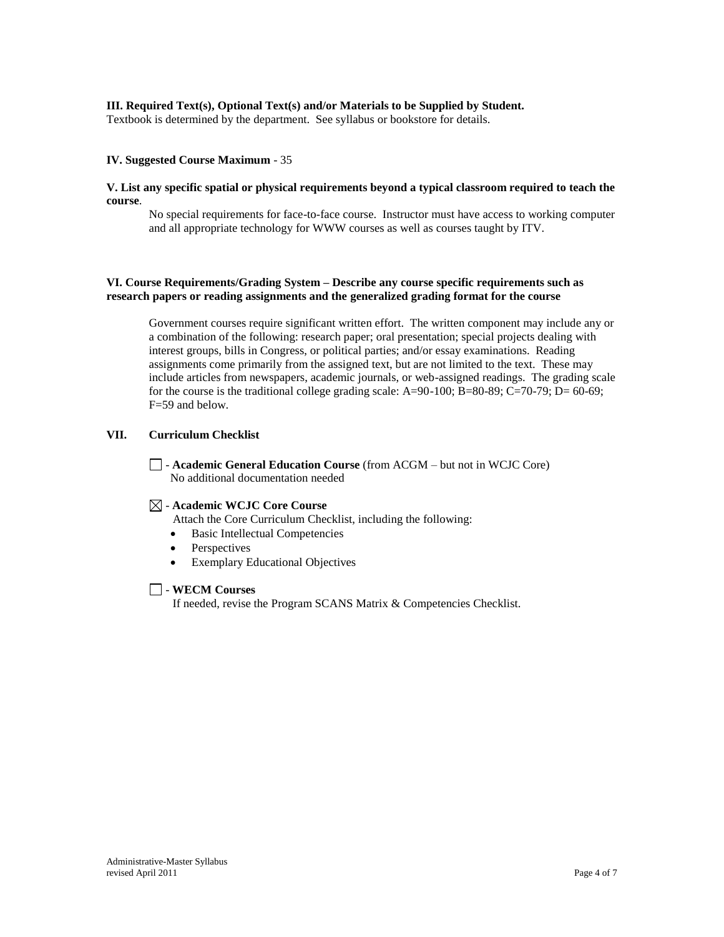### **III. Required Text(s), Optional Text(s) and/or Materials to be Supplied by Student.**

Textbook is determined by the department. See syllabus or bookstore for details.

#### **IV. Suggested Course Maximum** - 35

#### **V. List any specific spatial or physical requirements beyond a typical classroom required to teach the course**.

No special requirements for face-to-face course. Instructor must have access to working computer and all appropriate technology for WWW courses as well as courses taught by ITV.

### **VI. Course Requirements/Grading System – Describe any course specific requirements such as research papers or reading assignments and the generalized grading format for the course**

Government courses require significant written effort. The written component may include any or a combination of the following: research paper; oral presentation; special projects dealing with interest groups, bills in Congress, or political parties; and/or essay examinations. Reading assignments come primarily from the assigned text, but are not limited to the text. These may include articles from newspapers, academic journals, or web-assigned readings. The grading scale for the course is the traditional college grading scale:  $A=90-100$ ;  $B=80-89$ ;  $C=70-79$ ;  $D=60-69$ ; F=59 and below.

### **VII. Curriculum Checklist**

- **Academic General Education Course** (from ACGM – but not in WCJC Core) No additional documentation needed

### - **Academic WCJC Core Course**

Attach the Core Curriculum Checklist, including the following:

- Basic Intellectual Competencies
- Perspectives
- Exemplary Educational Objectives

#### - **WECM Courses**

If needed, revise the Program SCANS Matrix & Competencies Checklist.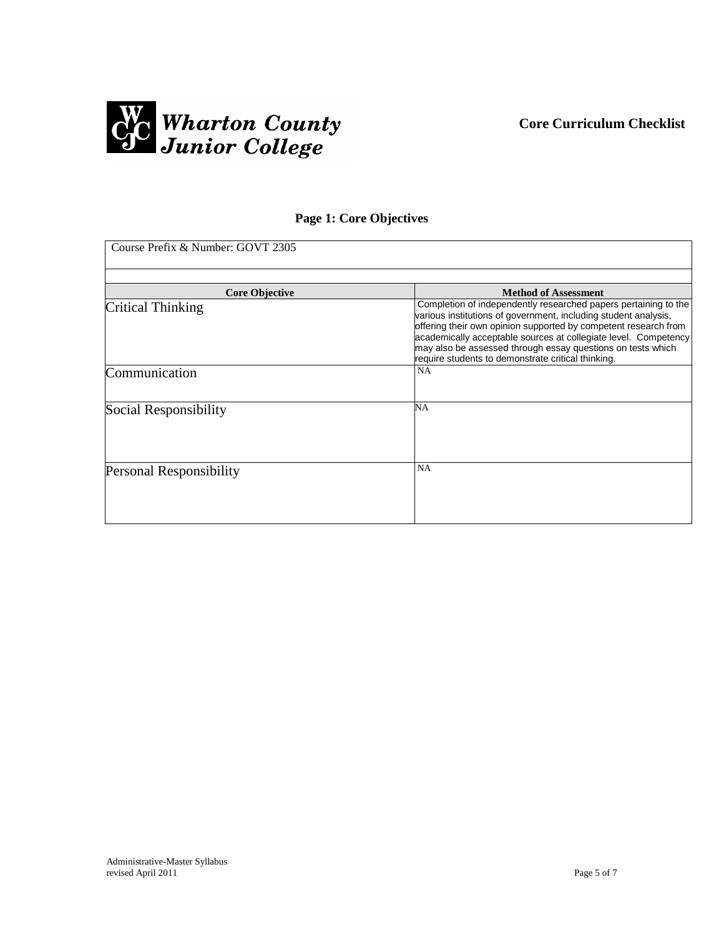



# **Page 1: Core Objectives**

| Course Prefix & Number: GOVT 2305 |                                                                                                                                |  |
|-----------------------------------|--------------------------------------------------------------------------------------------------------------------------------|--|
|                                   |                                                                                                                                |  |
| <b>Core Objective</b>             | <b>Method of Assessment</b>                                                                                                    |  |
| Critical Thinking                 | Completion of independently researched papers pertaining to the                                                                |  |
|                                   | various institutions of government, including student analysis,                                                                |  |
|                                   | offering their own opinion supported by competent research from                                                                |  |
|                                   | academically acceptable sources at collegiate level. Competency<br>may also be assessed through essay questions on tests which |  |
|                                   | require students to demonstrate critical thinking.                                                                             |  |
|                                   | NA                                                                                                                             |  |
| Communication                     |                                                                                                                                |  |
|                                   |                                                                                                                                |  |
| Social Responsibility             | NA                                                                                                                             |  |
|                                   |                                                                                                                                |  |
|                                   |                                                                                                                                |  |
|                                   |                                                                                                                                |  |
|                                   |                                                                                                                                |  |
| <b>Personal Responsibility</b>    | NA                                                                                                                             |  |
|                                   |                                                                                                                                |  |
|                                   |                                                                                                                                |  |
|                                   |                                                                                                                                |  |
|                                   |                                                                                                                                |  |
|                                   |                                                                                                                                |  |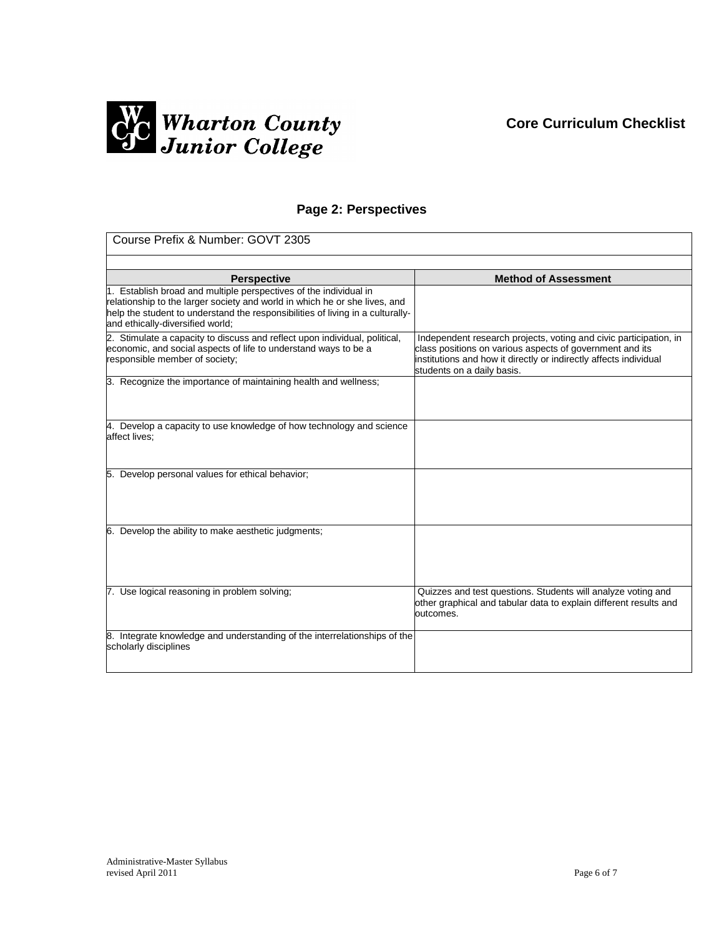## **Core Curriculum Checklist**



## **Page 2: Perspectives**

| Course Prefix & Number: GOVT 2305                                                                                                                                                                                                                                     |                                                                                                                                                                                                                                  |  |
|-----------------------------------------------------------------------------------------------------------------------------------------------------------------------------------------------------------------------------------------------------------------------|----------------------------------------------------------------------------------------------------------------------------------------------------------------------------------------------------------------------------------|--|
|                                                                                                                                                                                                                                                                       |                                                                                                                                                                                                                                  |  |
| <b>Perspective</b>                                                                                                                                                                                                                                                    | <b>Method of Assessment</b>                                                                                                                                                                                                      |  |
| 1. Establish broad and multiple perspectives of the individual in<br>relationship to the larger society and world in which he or she lives, and<br>help the student to understand the responsibilities of living in a culturally-<br>and ethically-diversified world; |                                                                                                                                                                                                                                  |  |
| 2. Stimulate a capacity to discuss and reflect upon individual, political,<br>economic, and social aspects of life to understand ways to be a<br>responsible member of society;                                                                                       | Independent research projects, voting and civic participation, in<br>class positions on various aspects of government and its<br>institutions and how it directly or indirectly affects individual<br>students on a daily basis. |  |
| 3. Recognize the importance of maintaining health and wellness;                                                                                                                                                                                                       |                                                                                                                                                                                                                                  |  |
| 4. Develop a capacity to use knowledge of how technology and science<br>affect lives;                                                                                                                                                                                 |                                                                                                                                                                                                                                  |  |
| 5. Develop personal values for ethical behavior;                                                                                                                                                                                                                      |                                                                                                                                                                                                                                  |  |
| 6. Develop the ability to make aesthetic judgments;                                                                                                                                                                                                                   |                                                                                                                                                                                                                                  |  |
| 7. Use logical reasoning in problem solving;                                                                                                                                                                                                                          | Quizzes and test questions. Students will analyze voting and<br>other graphical and tabular data to explain different results and<br>outcomes.                                                                                   |  |
| 8. Integrate knowledge and understanding of the interrelationships of the<br>scholarly disciplines                                                                                                                                                                    |                                                                                                                                                                                                                                  |  |